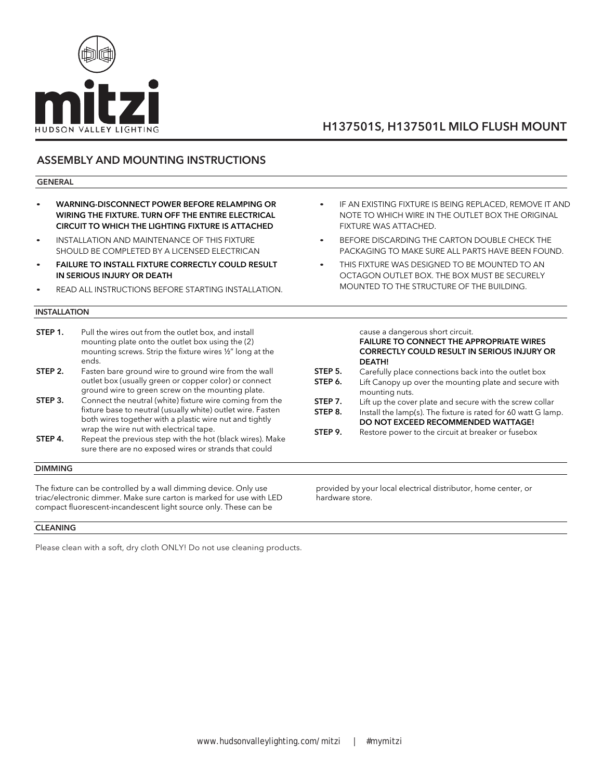

## ASSEMBLY AND MOUNTING INSTRUCTIONS

#### GENERAL

- WARNING-DISCONNECT POWER BEFORE RELAMPING OR WIRING THE FIXTURE. TURN OFF THE ENTIRE ELECTRICAL CIRCUIT TO WHICH THE LIGHTING FIXTURE IS ATTACHED
- INSTALLATION AND MAINTENANCE OF THIS FIXTURE SHOULD BE COMPLETED BY A LICENSED ELECTRICAN
- **FAILURE TO INSTALL FIXTURE CORRECTLY COULD RESULT** IN SERIOUS INJURY OR DEATH
- READ ALL INSTRUCTIONS BEFORE STARTING INSTALLATION.

#### INSTALLATION

**STEP 1.** Pull the wires out from the outlet box, and install mounting plate onto the outlet box using the (2) mounting screws. Strip the fixture wires ½" long at the ends. **STEP 2.** Fasten bare ground wire to ground wire from the wall outlet box (usually green or copper color) or connect ground wire to green screw on the mounting plate. **STEP 3.** Connect the neutral (white) fixture wire coming from the fixture base to neutral (usually white) outlet wire. Fasten both wires together with a plastic wire nut and tightly wrap the wire nut with electrical tape. **STEP 4.** Repeat the previous step with the hot (black wires). Make sure there are no exposed wires or strands that could

#### DIMMING

The fixture can be controlled by a wall dimming device. Only use triac/electronic dimmer. Make sure carton is marked for use with LED compact fluorescent-incandescent light source only. These can be

### CLEANING

Please clean with a soft, dry cloth ONLY! Do not use cleaning products.

- IF AN EXISTING FIXTURE IS BEING REPLACED, REMOVE IT AND NOTE TO WHICH WIRE IN THE OUTLET BOX THE ORIGINAL FIXTURE WAS ATTACHED.
- BEFORE DISCARDING THE CARTON DOUBLE CHECK THE PACKAGING TO MAKE SURE ALL PARTS HAVE BEEN FOUND.
- THIS FIXTURE WAS DESIGNED TO BE MOUNTED TO AN OCTAGON OUTLET BOX. THE BOX MUST BE SECURELY MOUNTED TO THE STRUCTURE OF THE BUILDING.

|         | cause a dangerous short circuit.<br>FAILURE TO CONNECT THE APPROPRIATE WIRES<br><b>CORRECTLY COULD RESULT IN SERIOUS INJURY OR</b><br><b>DEATH!</b> |
|---------|-----------------------------------------------------------------------------------------------------------------------------------------------------|
| STEP 5. | Carefully place connections back into the outlet box                                                                                                |
| STEP 6. | Lift Canopy up over the mounting plate and secure with<br>mounting nuts.                                                                            |
| STEP 7. | Lift up the cover plate and secure with the screw collar                                                                                            |
| STEP 8. | Install the lamp(s). The fixture is rated for 60 watt G lamp.<br>DO NOT EXCEED RECOMMENDED WATTAGE!                                                 |
| STEP 9. | Restore power to the circuit at breaker or fusebox                                                                                                  |

provided by your local electrical distributor, home center, or hardware store.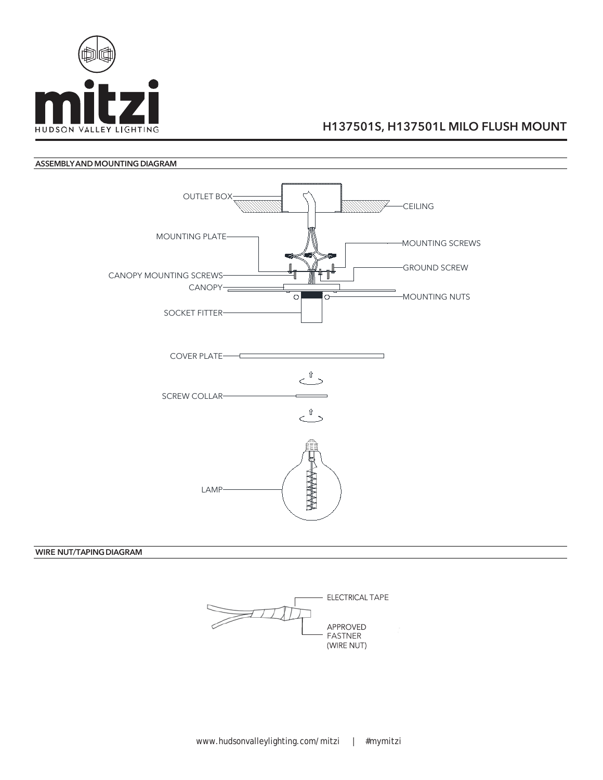



### WIRE NUT/TAPING DIAGRAM

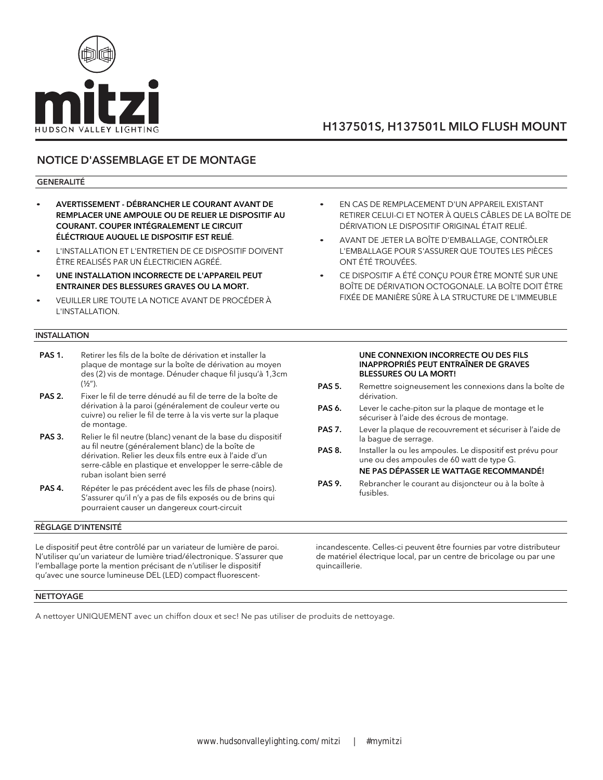

## NOTICE D'ASSEMBLAGE ET DE MONTAGE

#### GENERALITÉ

- AVERTISSEMENT DÉBRANCHER LE COURANT AVANT DE REMPLACER UNE AMPOULE OU DE RELIER LE DISPOSITIF AU COURANT. COUPER INTÉGRALEMENT LE CIRCUIT ÉLÉCTRIQUE AUQUEL LE DISPOSITIF EST RELIÉ.
- L'INSTALLATION ET L'ENTRETIEN DE CE DISPOSITIF DOIVENT ÊTRE REALISÉS PAR UN ÉLECTRICIEN AGRÉÉ.
- UNE INSTALLATION INCORRECTE DE L'APPAREIL PEUT ENTRAINER DES BLESSURES GRAVES OU LA MORT.
- VEUILLER LIRE TOUTE LA NOTICE AVANT DE PROCÉDER À L'INSTALLATION.

#### INSTALLATION

- PAS 1. Retirer les fils de la boîte de dérivation et installer la plaque de montage sur la boîte de dérivation au moyen des (2) vis de montage. Dénuder chaque fil jusqu'à 1,3cm  $(1/2'')$ .
- PAS 2. Fixer le fil de terre dénudé au fil de terre de la boîte de dérivation à la paroi (généralement de couleur verte ou cuivre) ou relier le fil de terre à la vis verte sur la plaque de montage.
- PAS 3. Relier le fil neutre (blanc) venant de la base du dispositif au fil neutre (généralement blanc) de la boîte de dérivation. Relier les deux fils entre eux à l'aide d'un serre-câble en plastique et envelopper le serre-câble de ruban isolant bien serré
- PAS 4. Répéter le pas précédent avec les fils de phase (noirs). S'assurer qu'il n'y a pas de fils exposés ou de brins qui pourraient causer un dangereux court-circuit

#### RÈGLAGE D'INTENSITÉ

Le dispositif peut être contrôlé par un variateur de lumière de paroi. N'utiliser qu'un variateur de lumière triad/électronique. S'assurer que l'emballage porte la mention précisant de n'utiliser le dispositif qu'avec une source lumineuse DEL (LED) compact fluorescent-

- EN CAS DE REMPLACEMENT D'UN APPAREIL EXISTANT RETIRER CELUI-CI ET NOTER À QUELS CÂBLES DE LA BOÎTE DE DÉRIVATION LE DISPOSITIF ORIGINAL ÉTAIT RELIÉ.
- AVANT DE JETER LA BOÎTE D'EMBALLAGE, CONTRÔLER L'EMBALLAGE POUR S'ASSURER QUE TOUTES LES PIÈCES ONT ÉTÉ TROUVÉES.
- CE DISPOSITIF A ÉTÉ CONÇU POUR ÊTRE MONTÉ SUR UNE BOÎTE DE DÉRIVATION OCTOGONALE. LA BOÎTE DOIT ÊTRE FIXÉE DE MANIÈRE SÛRE À LA STRUCTURE DE L'IMMEUBLE

#### UNE CONNEXION INCORRECTE OU DES FILS INAPPROPRIÉS PEUT ENTRAÎNER DE GRAVES BLESSURES OU LA MORT!

- PAS 5. Remettre soigneusement les connexions dans la boîte de dérivation.
- PAS 6. Lever le cache-piton sur la plaque de montage et le sécuriser à l'aide des écrous de montage.
- PAS 7. Lever la plaque de recouvrement et sécuriser à l'aide de la bague de serrage.
- PAS 8. Installer la ou les ampoules. Le dispositif est prévu pour une ou des ampoules de 60 watt de type G.

### NE PAS DÉPASSER LE WATTAGE RECOMMANDÉ!

PAS 9. Rebrancher le courant au disjoncteur ou à la boîte à fusibles.

incandescente. Celles-ci peuvent être fournies par votre distributeur de matériel électrique local, par un centre de bricolage ou par une quincaillerie.

#### **NETTOYAGE**

A nettoyer UNIQUEMENT avec un chiffon doux et sec! Ne pas utiliser de produits de nettoyage.